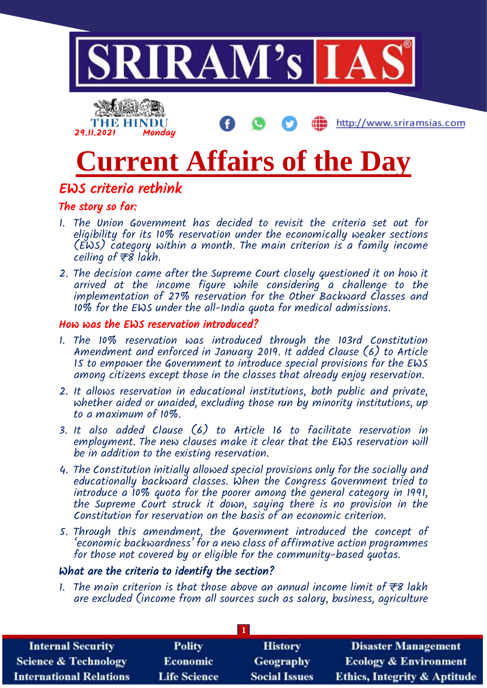

# **Current Affairs of the Day**

## EWS criteria rethink

## The story so far:

- 1. The Union Government has decided to revisit the criteria set out for eligibility for its 10% reservation under the economically weaker sections (EWS) category within a month. The main criterion is a family income ceiling of  $\overline{\tau}$ 8 lakh.
- 2. The decision came after the Supreme Court closely questioned it on how it arrived at the income figure while considering a challenge to the implementation of 27% reservation for the Other Backward Classes and 10% for the EWS under the all-India quota for medical admissions.

#### How was the EWS reservation introduced?

- 1. The 10% reservation was introduced through the 103rd Constitution Amendment and enforced in January 2019. It added Clause (6) to Article 15 to empower the Government to introduce special provisions for the EWS among citizens except those in the classes that already enjoy reservation.
- 2. It allows reservation in educational institutions, both public and private, whether aided or unaided, excluding those run by minority institutions, up to a maximum of 10%.
- 3. It also added Clause (6) to Article 16 to facilitate reservation in employment. The new clauses make it clear that the EWS reservation will be in addition to the existing reservation.
- 4. The Constitution initially allowed special provisions only for the socially and educationally backward classes. When the Congress Government tried to introduce a 10% quota for the poorer among the general category in 1991, the Supreme Court struck it down, saying there is no provision in the Constitution for reservation on the basis of an economic criterion.
- 5. Through this amendment, the Government introduced the concept of 'economic backwardness' for a new class of affirmative action programmes for those not covered by or eligible for the community-based quotas.

#### What are the criteria to identify the section?

1. The main criterion is that those above an annual income limit of  $\bar{\tau}s$  lakh are excluded (income from all sources such as salary, business, agriculture

| <b>Internal Security</b>        | <b>Polity</b>       | <b>History</b>       | <b>Disaster Management</b>              |  |
|---------------------------------|---------------------|----------------------|-----------------------------------------|--|
| <b>Science &amp; Technology</b> | <b>Economic</b>     | <b>Geography</b>     | <b>Ecology &amp; Environment</b>        |  |
| <b>International Relations</b>  | <b>Life Science</b> | <b>Social Issues</b> | <b>Ethics, Integrity &amp; Aptitude</b> |  |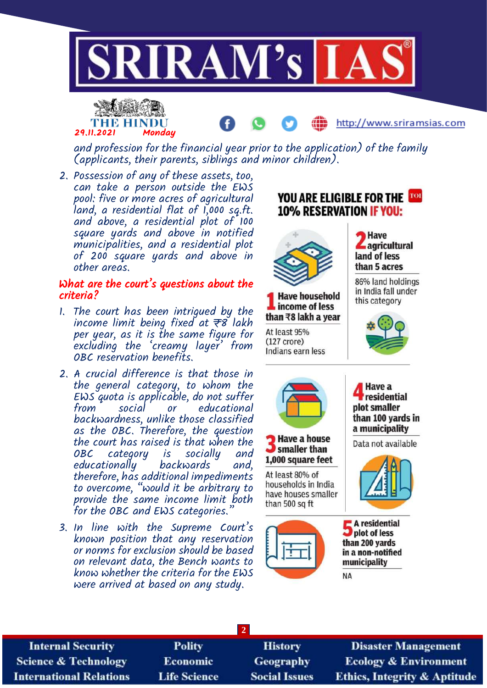



and profession for the financial year prior to the application) of the family

- (applicants, their parents, siblings and minor children). 2. Possession of any of these assets, too,
- can take a person outside the EWS pool: five or more acres of agricultural land, a residential flat of 1,000 sq.ft. and above, a residential plot of 100 square yards and above in notified municipalities, and a residential plot of 200 square yards and above in other areas.

#### What are the court's questions about the criteria?

- 1. The court has been intrigued by the income limit being fixed at  $\overline{\tau}8$  lakh per year, as it is the same figure for excluding the 'creamy layer' from OBC reservation benefits.
- 2. A crucial difference is that those in the general category, to whom the EWS quota is applicable, do not suffer or educational backwardness, unlike those classified as the OBC. Therefore, the question the court has raised is that when the<br>OBC category is socially and category is socially and<br>ionally backwards and, educationally backwards and, therefore, has additional impediments to overcome, "would it be arbitrary to provide the same income limit both for the OBC and EWS categories.
- 3. In line with the Supreme Court's known position that any reservation or norms for exclusion should be based on relevant data, the Bench wants to know whether the criteria for the EWS were arrived at based on any study.



http://www.sriramsias.com

**2 Polity Internal Security Disaster Management** History **Science & Technology** Economic Geography **Ecology & Environment Life Science International Relations Social Issues Ethics, Integrity & Aptitude**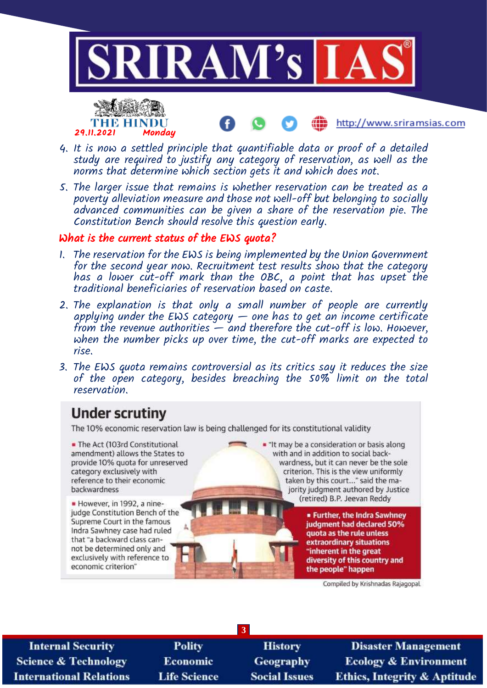



4. It is now a settled principle that quantifiable data or proof of a detailed study are required to justify any category of reservation, as well as the norms that determine which section gets it and which does not.

5. The larger issue that remains is whether reservation can be treated as a poverty alleviation measure and those not well-off but belonging to socially advanced communities can be given a share of the reservation pie. The Constitution Bench should resolve this question early.

#### What is the current status of the EWS quota?

- 1. The reservation for the EWS is being implemented by the Union Government for the second year now. Recruitment test results show that the category has a lower cut-off mark than the OBC, a point that has upset the traditional beneficiaries of reservation based on caste.
- 2. The explanation is that only a small number of people are currently applying under the EWS category  $-$  one has to get an income certificate from the revenue authorities  $-\tilde{a}$  and therefore the cut-off is low. However, when the number picks up over time, the cut-off marks are expected to rise.
- 3. The EWS quota remains controversial as its critics say it reduces the size of the open category, besides breaching the 50% limit on the total reservation.

# **Under scrutiny**

The 10% economic reservation law is being challenged for its constitutional validity

• The Act (103rd Constitutional amendment) allows the States to provide 10% quota for unreserved category exclusively with reference to their economic backwardness

However, in 1992, a ninejudge Constitution Bench of the Supreme Court in the famous Indra Sawhney case had ruled that "a backward class cannot be determined only and exclusively with reference to economic criterion"

. "It may be a consideration or basis along with and in addition to social backwardness, but it can never be the sole criterion. This is the view uniformly taken by this court..." said the majority judgment authored by Justice (retired) B.P. Jeevan Reddy

> **. Further, the Indra Sawhney** judgment had declared 50% quota as the rule unless extraordinary situations "inherent in the great diversity of this country and the people" happen

> > Compiled by Krishnadas Rajagopal

**Internal Security Science & Technology International Relations** 

**Polity** Economic **Life Science** 

**History** Geography **Social Issues** 

**3**

**Disaster Management Ecology & Environment Ethics, Integrity & Aptitude** 

http://www.sriramsias.com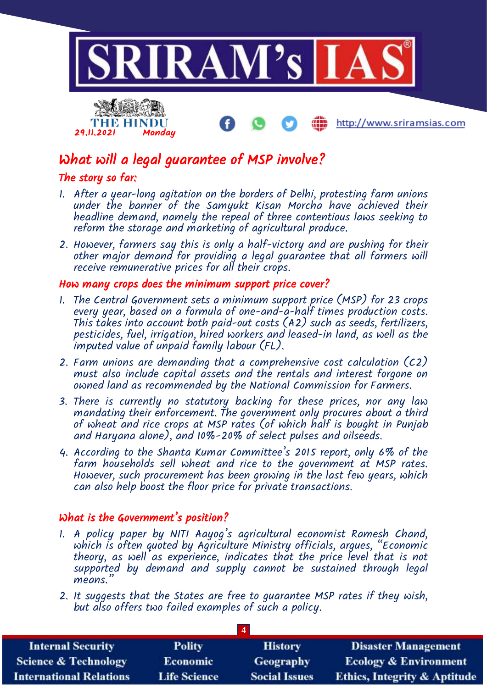

http://www.sriramsias.com

# What will a legal guarantee of MSP involve?

#### The story so far:

29.11.2021 Monday

THE HINDU

- 1. After a year-long agitation on the borders of Delhi, protesting farm unions under the banner of the Samyukt Kisan Morcha have achieved their headline demand, namely the repeal of three contentious laws seeking to reform the storage and marketing of agricultural produce.
- 2. However, farmers say this is only a half-victory and are pushing for their other major demand for providing a legal guarantee that all farmers will receive remunerative prices for all their crops.

#### How many crops does the minimum support price cover?

- 1. The Central Government sets a minimum support price (MSP) for 23 crops every year, based on a formula of one-and-a-half times production costs. This takes into account both paid-out costs (A2) such as seeds, fertilizers, pesticides, fuel, irrigation, hired workers and leased-in land, as well as the imputed value of unpaid family labour (FL).
- 2. Farm unions are demanding that a comprehensive cost calculation (C2) must also include capital assets and the rentals and interest forgone on owned land as recommended by the National Commission for Farmers.
- 3. There is currently no statutory backing for these prices, nor any law mandating their enforcement. The government only procures about a third of wheat and rice crops at MSP rates (of which half is bought in Punjab and Haryana alone), and 10%-20% of select pulses and oilseeds.
- 4. According to the Shanta Kumar Committee's 2015 report, only 6% of the farm households sell wheat and rice to the government at MSP rates. However, such procurement has been growing in the last few years, which can also help boost the floor price for private transactions.

#### What is the Government's position?

- 1. A policy paper by NITI Aayog's agricultural economist Ramesh Chand, which is often quoted by Agriculture Ministry officials, argues, "Economic theory, as well as experience, indicates that the price level that is not supported by demand and supply cannot be sustained through legal means.
- 2. It suggests that the States are free to guarantee MSP rates if they wish, but also offers two failed examples of such a policy.

| <b>Internal Security</b>        | <b>Polity</b>       | <b>History</b>       | <b>Disaster Management</b>              |  |
|---------------------------------|---------------------|----------------------|-----------------------------------------|--|
| <b>Science &amp; Technology</b> | <b>Economic</b>     | Geography            | <b>Ecology &amp; Environment</b>        |  |
| <b>International Relations</b>  | <b>Life Science</b> | <b>Social Issues</b> | <b>Ethics, Integrity &amp; Aptitude</b> |  |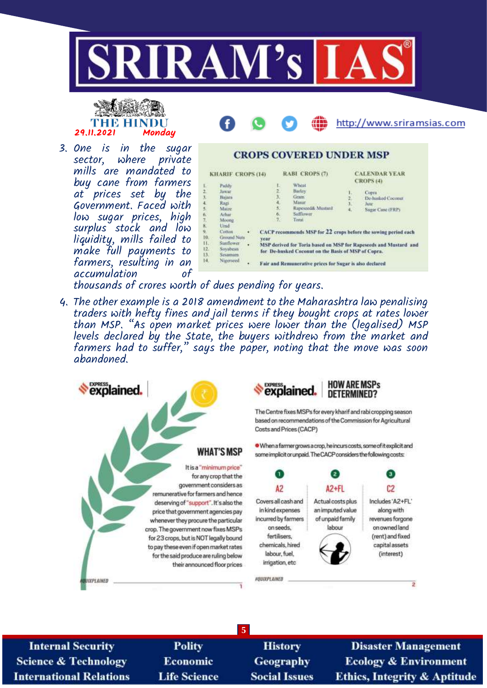





3. One is in the sugar sector, where mills are mandated to buy cane from farmers at prices set by the Government. Faced with low sugar prices, high surplus stock and low liquidity, mills failed to make full payments to farmers, resulting in an accumulation

|                            | <b>KHARIF CROPS (14)</b>                                                                               |                                               |                                 | RABI CROPS (7)                                                                                                          |                           | <b>CALENDAR YEAR</b><br><b>CROPS (4)</b>                                                                                           |
|----------------------------|--------------------------------------------------------------------------------------------------------|-----------------------------------------------|---------------------------------|-------------------------------------------------------------------------------------------------------------------------|---------------------------|------------------------------------------------------------------------------------------------------------------------------------|
|                            | Paddy.<br><b>Jawar</b><br>Baum<br>Rags<br>Maize<br>Arhar:                                              |                                               | E.<br>z<br>31<br>4.<br>3.<br>6. | Wheat<br>Barley.<br>Gram:<br><b>Masur</b><br>Rapesced& Mustard<br>Safflimour.                                           | 1.<br>$\frac{2}{3}$<br>4. | Coppa<br>De-hunked Coconut<br>Jute<br>Sugar Canc (FRP)                                                                             |
| ò.<br>L.<br>z,<br>ÿ,<br>ă. | Moone<br>Unad.<br>Cotton<br>Ground Note<br><b>Sunflower</b><br>Savabean<br><b>Sesamum</b><br>Nuterseed | ٠<br><b>Vear</b><br>$\ddot{\phantom{1}}$<br>٠ | 7.3                             | Torat<br>for De-busked Coconut on the Basis of MSP of Copra.<br>Fair and Remunerative prices for Sugar is also declared |                           | CACP recommends MSP for 22 crops before the sowing period each<br>MSP derived for Toria based on MSP for Rapeseeds and Mustard and |

**CROPS COVERED UNDER MSP** 

thousands of crores worth of dues pending for years.

4. The other example is a 2018 amendment to the Maharashtra law penalising traders with hefty fines and jail terms if they bought crops at rates lower than MSP. "As open market prices were lower than the (legalised) MSP levels declared by the State, the buyers withdrew from the market and farmers had to suffer," says the paper, noting that the move was soon abandoned.



**Internal Security Science & Technology International Relations** 

**Polity** Economic **Life Science** 

**History** Geography **Social Issues** 

**5**

**Disaster Management Ecology & Environment Ethics, Integrity & Aptitude**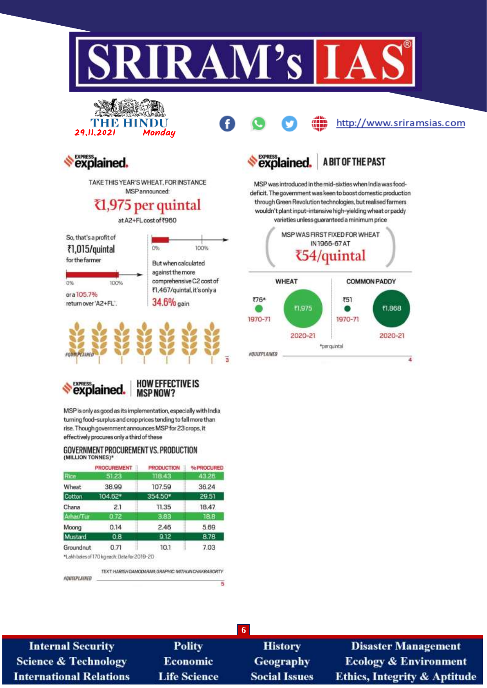

explained

# **MSPNOW?**

MSP is only as good as its implementation, especially with India turning food-surplus and crop prices tending to fall more than rise. Though government announces MSP for 23 crops, it effectively procures only a third of these

#### GOVERNMENT PROCUREMENT VS. PRODUCTION (MILLION TONNES)\*

| <b>PROCUREMENT</b> | <b>PRODUCTION</b> | % PROCURED                                   |
|--------------------|-------------------|----------------------------------------------|
| 51.23              | 118.43            | 43.25                                        |
| 38.99              | 107.59            | 36.24                                        |
| 104.62*            | 354.50*           | 29.51                                        |
| 2.1                | 11.35             | 18.47                                        |
| 0.72               | 3.83              | 18.8                                         |
| 0.14               | 2.46              | 5.69                                         |
| 0.8                | 9.12              | 8.78                                         |
| 0.71               | 10.1              | 7.03                                         |
|                    |                   |                                              |
|                    |                   | *Lakh bales of 170 kg each; Data for 2019-20 |

TEXT: HARISH DAMODARAN, GRAPHIC: MITHUN CHAKRABORTY FOURPLAINED  $\overline{\mathbf{5}}$ 

**History** 

**6**

**Geography Social Issues** 

**Disaster Management Ecology & Environment** Ethics, Integrity & Aptitude

## **Internal Security Science & Technology International Relations**

**Polity Economic Life Science**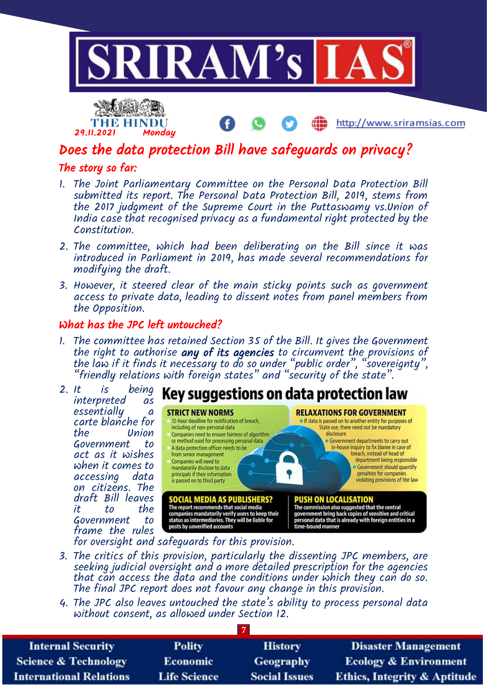



http://www.sriramsias.com

# Does the data protection Bill have safeguards on privacy?

## The story so far:

- 1. The Joint Parliamentary Committee on the Personal Data Protection Bill submitted its report. The Personal Data Protection Bill, 2019, stems from the 2017 judgment of the Supreme Court in the Puttaswamy vs.Union of India case that recognised privacy as a fundamental right protected by the Constitution.
- 2. The committee, which had been deliberating on the Bill since it was introduced in Parliament in 2019, has made several recommendations for modifying the draft.
- 3. However, it steered clear of the main sticky points such as government access to private data, leading to dissent notes from panel members from the Opposition.

## What has the JPC left untouched?

1. The committee has retained Section 35 of the Bill. It gives the Government the right to authorise any of its agencies to circumvent the provisions of the law if it finds it necessary to do so under "public order", "sovereignty", "friendly relations with foreign states" and "security of the state".



- 3. The critics of this provision, particularly the dissenting JPC members, are seeking judicial oversight and a more detailed prescription for the agencies that can access the data and the conditions under which they can do so. The final JPC report does not favour any change in this provision.
- 4. The JPC also leaves untouched the state's ability to process personal data without consent, as allowed under Section 12.

| <b>Internal Security</b>        | <b>Polity</b>       | <b>History</b>       | <b>Disaster Management</b>              |  |
|---------------------------------|---------------------|----------------------|-----------------------------------------|--|
| <b>Science &amp; Technology</b> | <b>Economic</b>     | <b>Geography</b>     | <b>Ecology &amp; Environment</b>        |  |
| <b>International Relations</b>  | <b>Life Science</b> | <b>Social Issues</b> | <b>Ethics, Integrity &amp; Aptitude</b> |  |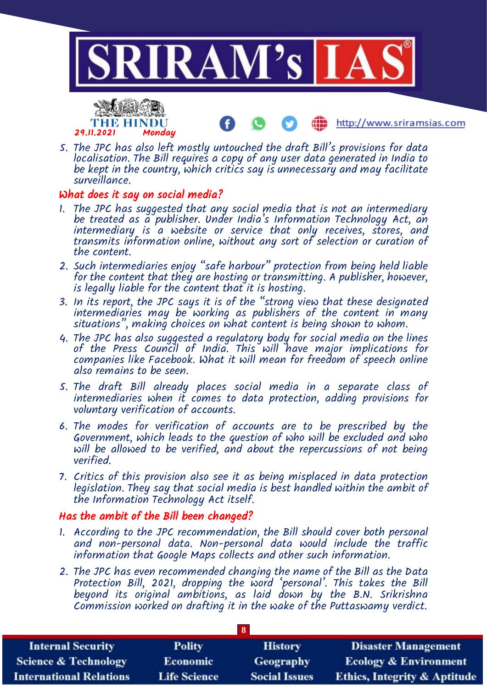



- http://www.sriramsias.com
- 5. The JPC has also left mostly untouched the draft Bill's provisions for data localisation. The Bill requires a copy of any user data generated in India to be kept in the country, which critics say is unnecessary and may facilitate surveillance.

### What does it say on social media?

- 1. The JPC has suggested that any social media that is not an intermediary be treated as a publisher. Under India's Information Technology Act, an intermediary is a website or service that only receives, stores, and transmits information online, without any sort of selection or curation of the content.
- 2. Such intermediaries enjoy "safe harbour" protection from being held liable for the content that they are hosting or transmitting. A publisher, however, is legally liable for the content that it is hosting.
- 3. In its report, the JPC says it is of the "strong view that these designated intermediaries may be working as publishers of the content in many situations", making choices on what content is being shown to whom.
- 4. The JPC has also suggested a regulatory body for social media on the lines of the Press Council of India. This will have major implications for companies like Facebook. What it will mean for freedom of speech online also remains to be seen.
- 5. The draft Bill already places social media in a separate class of intermediaries when it comes to data protection, adding provisions for voluntary verification of accounts.
- 6. The modes for verification of accounts are to be prescribed by the Government, which leads to the question of who will be excluded and who will be allowed to be verified, and about the repercussions of not being verified.
- 7. Critics of this provision also see it as being misplaced in data protection legislation. They say that social media is best handled within the ambit of the Information Technology Act itself.

#### Has the ambit of the Bill been changed?

- 1. According to the JPC recommendation, the Bill should cover both personal and non-personal data. Non-personal data would include the traffic information that Google Maps collects and other such information.
- 2. The JPC has even recommended changing the name of the Bill as the Data Protection Bill, 2021, dropping the word 'personal'. This takes the Bill beyond its original ambitions, as laid down by the B.N. Srikrishna Commission worked on drafting it in the wake of the Puttaswamy verdict.

| $\overline{\mathbf{8}}$         |                     |                      |                                         |  |
|---------------------------------|---------------------|----------------------|-----------------------------------------|--|
| <b>Internal Security</b>        | <b>Polity</b>       | <b>History</b>       | <b>Disaster Management</b>              |  |
| <b>Science &amp; Technology</b> | <b>Economic</b>     | Geography            | <b>Ecology &amp; Environment</b>        |  |
| <b>International Relations</b>  | <b>Life Science</b> | <b>Social Issues</b> | <b>Ethics, Integrity &amp; Aptitude</b> |  |